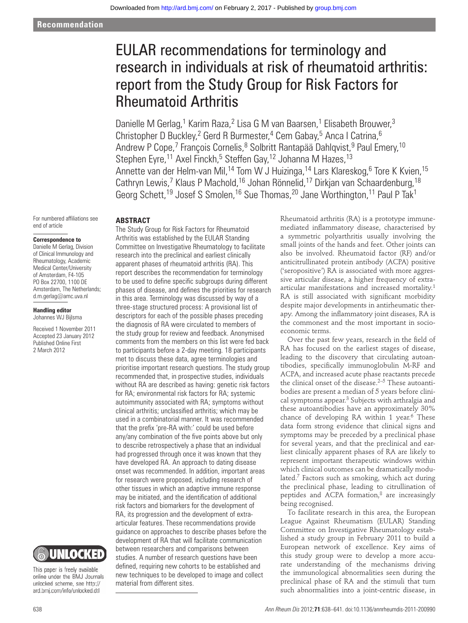# EULAR recommendations for terminology and research in individuals at risk of rheumatoid arthritis: report from the Study Group for Risk Factors for Rheumatoid Arthritis

Danielle M Gerlag,<sup>1</sup> Karim Raza,<sup>2</sup> Lisa G M van Baarsen,<sup>1</sup> Elisabeth Brouwer,<sup>3</sup> Christopher D Buckley,<sup>2</sup> Gerd R Burmester,<sup>4</sup> Cem Gabay,<sup>5</sup> Anca I Catrina,<sup>6</sup> Andrew P Cope,<sup>7</sup> François Cornelis, <sup>8</sup> Solbritt Rantapää Dahlqvist, <sup>9</sup> Paul Emery, <sup>10</sup> Stephen Eyre,<sup>11</sup> Axel Finckh,<sup>5</sup> Steffen Gay,<sup>12</sup> Johanna M Hazes,<sup>13</sup> Annette van der Helm-van Mil,<sup>14</sup> Tom W J Huizinga,<sup>14</sup> Lars Klareskog,<sup>6</sup> Tore K Kvien,<sup>15</sup> Cathryn Lewis,<sup>7</sup> Klaus P Machold, <sup>16</sup> Johan Rönnelid, <sup>17</sup> Dirkjan van Schaardenburg, <sup>18</sup> Georg Schett,<sup>19</sup> Josef S Smolen,<sup>16</sup> Sue Thomas,<sup>20</sup> Jane Worthington,<sup>11</sup> Paul P Tak<sup>1</sup>

# **ABSTRACT**

# **Correspondence to**

end of article

Danielle M Gerlag, Division of Clinical Immunology and Rheumatology, Academic Medical Center/University of Amsterdam, F4-105 PO Box 22700, 1100 DE Amsterdam, The Netherlands; d.m.gerlag@amc.uva.nl

For numbered affiliations see

#### **Handling editor** Johannes WJ Bijlsma

Received 1 November 2011 Accepted 23 January 2012 Published Online First 2 March 2012



This paper is freely available online under the BMJ Journals unlocked scheme, see http:// ard.bmj.com/info/unlocked.dtl

The Study Group for Risk Factors for Rheumatoid Arthritis was established by the EULAR Standing Committee on Investigative Rheumatology to facilitate research into the preclinical and earliest clinically apparent phases of rheumatoid arthritis (RA). This report describes the recommendation for terminology to be used to define specific subgroups during different phases of disease, and defines the priorities for research in this area. Terminology was discussed by way of a three-stage structured process: A provisional list of descriptors for each of the possible phases preceding the diagnosis of RA were circulated to members of the study group for review and feedback. Anonymised comments from the members on this list were fed back to participants before a 2-day meeting. 18 participants met to discuss these data, agree terminologies and prioritise important research questions. The study group recommended that, in prospective studies, individuals without RA are described as having: genetic risk factors for RA; environmental risk factors for RA; systemic autoimmunity associated with RA; symptoms without clinical arthritis; unclassified arthritis; which may be used in a combinatorial manner. It was recommended that the prefix 'pre-RA with:' could be used before any/any combination of the five points above but only to describe retrospectively a phase that an individual had progressed through once it was known that they have developed RA. An approach to dating disease onset was recommended. In addition, important areas for research were proposed, including research of other tissues in which an adaptive immune response may be initiated, and the identification of additional risk factors and biomarkers for the development of RA, its progression and the development of extraarticular features. These recommendations provide guidance on approaches to describe phases before the development of RA that will facilitate communication between researchers and comparisons between studies. A number of research questions have been defined, requiring new cohorts to be established and new techniques to be developed to image and collect material from different sites.

Rheumatoid arthritis (RA) is a prototype immunemediated inflammatory disease, characterised by a symmetric polyarthritis usually involving the small joints of the hands and feet. Other joints can also be involved. Rheumatoid factor (RF) and/or anticitrullinated protein antibody (ACPA) positive ('seropositive') RA is associated with more aggressive articular disease, a higher frequency of extraarticular manifestations and increased mortality.1 RA is still associated with significant morbidity despite major developments in antirheumatic therapy. Among the inflammatory joint diseases, RA is the commonest and the most important in socioeconomic terms.

Over the past few years, research in the field of RA has focused on the earliest stages of disease, leading to the discovery that circulating autoantibodies, specifically immunoglobulin M-RF and ACPA, and increased acute phase reactants precede the clinical onset of the disease.<sup>2–5</sup> These autoantibodies are present a median of 5 years before clinical symptoms appear.<sup>3</sup> Subjects with arthralgia and these autoantibodies have an approximately 30% chance of developing RA within 1 year.<sup>6</sup> These data form strong evidence that clinical signs and symptoms may be preceded by a preclinical phase for several years, and that the preclinical and earliest clinically apparent phases of RA are likely to represent important therapeutic windows within which clinical outcomes can be dramatically modulated.<sup>7</sup> Factors such as smoking, which act during the preclinical phase, leading to citrullination of peptides and ACPA formation,<sup>8</sup> are increasingly being recognised.

To facilitate research in this area, the European League Against Rheumatism (EULAR) Standing Committee on Investigative Rheumatology established a study group in February 2011 to build a European network of excellence. Key aims of this study group were to develop a more accurate understanding of the mechanisms driving the immunological abnormalities seen during the preclinical phase of RA and the stimuli that turn such abnormalities into a joint-centric disease, in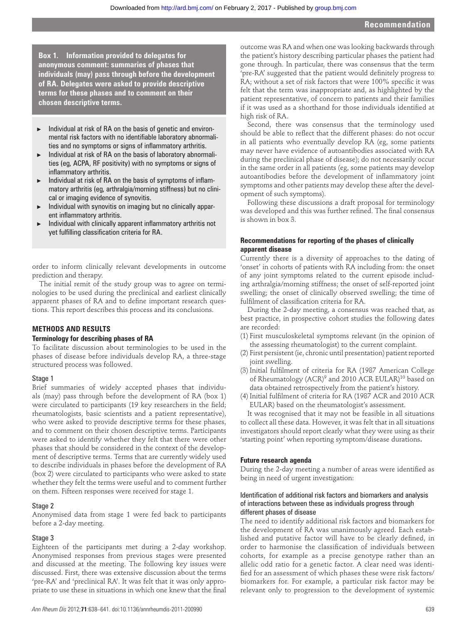**Box 1. Information provided to delegates for anonymous comment: summaries of phases that individuals (may) pass through before the development of RA. Delegates were asked to provide descriptive terms for these phases and to comment on their chosen descriptive terms.**

- $\blacktriangleright$  Individual at risk of RA on the basis of genetic and environmental risk factors with no identifiable laboratory abnormalities and no symptoms or signs of inflammatory arthritis.
- Individual at risk of RA on the basis of laboratory abnormalities (eg, ACPA, RF positivity) with no symptoms or signs of inflammatory arthritis.
- Individual at risk of RA on the basis of symptoms of inflammatory arthritis (eg, arthralgia/morning stiffness) but no clinical or imaging evidence of synovitis.
- Individual with synovitis on imaging but no clinically apparent inflammatory arthritis.
- Individual with clinically apparent inflammatory arthritis not yet fulfilling classification criteria for RA.

order to inform clinically relevant developments in outcome prediction and therapy.

The initial remit of the study group was to agree on terminologies to be used during the preclinical and earliest clinically apparent phases of RA and to define important research questions. This report describes this process and its conclusions.

#### **METHODS AND RESULTS**

#### **Terminology for describing phases of RA**

To facilitate discussion about terminologies to be used in the phases of disease before individuals develop RA, a three-stage structured process was followed.

#### Stage 1

Brief summaries of widely accepted phases that individuals (may) pass through before the development of RA (box 1) were circulated to participants (19 key researchers in the field; rheumatologists, basic scientists and a patient representative), who were asked to provide descriptive terms for these phases, and to comment on their chosen descriptive terms. Participants were asked to identify whether they felt that there were other phases that should be considered in the context of the development of descriptive terms. Terms that are currently widely used to describe individuals in phases before the development of RA (box 2) were circulated to participants who were asked to state whether they felt the terms were useful and to comment further on them. Fifteen responses were received for stage 1.

#### Stage 2

Anonymised data from stage 1 were fed back to participants before a 2-day meeting.

## Stage 3

Eighteen of the participants met during a 2-day workshop. Anonymised responses from previous stages were presented and discussed at the meeting. The following key issues were discussed. First, there was extensive discussion about the terms 'pre-RA' and 'preclinical RA'. It was felt that it was only appropriate to use these in situations in which one knew that the final outcome was RA and when one was looking backwards through the patient's history describing particular phases the patient had gone through. In particular, there was consensus that the term 'pre-RA' suggested that the patient would definitely progress to RA; without a set of risk factors that were 100% specific it was felt that the term was inappropriate and, as highlighted by the patient representative, of concern to patients and their families if it was used as a shorthand for those individuals identified at high risk of RA.

Second, there was consensus that the terminology used should be able to reflect that the different phases: do not occur in all patients who eventually develop RA (eg, some patients may never have evidence of autoantibodies associated with RA during the preclinical phase of disease); do not necessarily occur in the same order in all patients (eg, some patients may develop autoantibodies before the development of inflammatory joint symptoms and other patients may develop these after the development of such symptoms).

Following these discussions a draft proposal for terminology was developed and this was further refined. The final consensus is shown in box 3.

## **Recommendations for reporting of the phases of clinically apparent disease**

Currently there is a diversity of approaches to the dating of 'onset' in cohorts of patients with RA including from: the onset of any joint symptoms related to the current episode including arthralgia/morning stiffness; the onset of self-reported joint swelling; the onset of clinically observed swelling; the time of fulfilment of classification criteria for RA.

During the 2-day meeting, a consensus was reached that, as best practice, in prospective cohort studies the following dates are recorded:

- (1) First musculoskeletal symptoms relevant (in the opinion of the assessing rheumatologist) to the current complaint.
- (2) First persistent (ie, chronic until presentation) patient reported joint swelling.
- (3) Initial fulfilment of criteria for RA (1987 American College of Rheumatology (ACR)<sup>9</sup> and 2010 ACR EULAR)<sup>10</sup> based on data obtained retrospectively from the patient's history.
- (4) Initial fulfilment of criteria for RA (1987 ACR and 2010 ACR EULAR) based on the rheumatologist's assessment.

It was recognised that it may not be feasible in all situations to collect all these data. However, it was felt that in all situations investigators should report clearly what they were using as their 'starting point' when reporting symptom/disease durations**.**

#### **Future research agenda**

During the 2-day meeting a number of areas were identified as being in need of urgent investigation:

## Identification of additional risk factors and biomarkers and analysis of interactions between these as individuals progress through different phases of disease

The need to identify additional risk factors and biomarkers for the development of RA was unanimously agreed. Each established and putative factor will have to be clearly defined, in order to harmonise the classification of individuals between cohorts, for example as a precise genotype rather than an allelic odd ratio for a genetic factor. A clear need was identified for an assessment of which phases these were risk factors/ biomarkers for. For example, a particular risk factor may be relevant only to progression to the development of systemic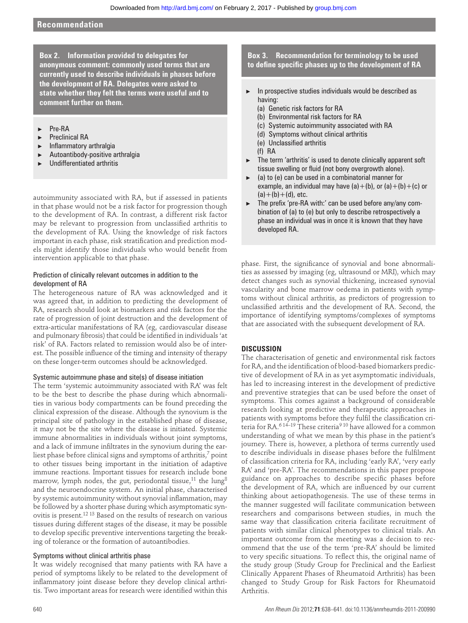## **Recommendation**

**Box 2. Information provided to delegates for anonymous comment: commonly used terms that are currently used to describe individuals in phases before the development of RA. Delegates were asked to state whether they felt the terms were useful and to comment further on them.**

- Pre-RA
- **Preclinical RA**
- Inflammatory arthralgia
- Autoantibody-positive arthralgia
- Undifferentiated arthritis

autoimmunity associated with RA, but if assessed in patients in that phase would not be a risk factor for progression though to the development of RA. In contrast, a different risk factor may be relevant to progression from unclassified arthritis to the development of RA. Using the knowledge of risk factors important in each phase, risk stratification and prediction models might identify those individuals who would benefit from intervention applicable to that phase.

#### Prediction of clinically relevant outcomes in addition to the development of RA

The heterogeneous nature of RA was acknowledged and it was agreed that, in addition to predicting the development of RA, research should look at biomarkers and risk factors for the rate of progression of joint destruction and the development of extra-articular manifestations of RA (eg, cardiovascular disease and pulmonary fibrosis) that could be identified in individuals 'at risk' of RA. Factors related to remission would also be of interest. The possible influence of the timing and intensity of therapy on these longer-term outcomes should be acknowledged.

#### Systemic autoimmune phase and site(s) of disease initiation

The term 'systemic autoimmunity associated with RA' was felt to be the best to describe the phase during which abnormalities in various body compartments can be found preceding the clinical expression of the disease. Although the synovium is the principal site of pathology in the established phase of disease, it may not be the site where the disease is initiated. Systemic immune abnormalities in individuals without joint symptoms, and a lack of immune infiltrates in the synovium during the earliest phase before clinical signs and symptoms of arthritis, $7$  point to other tissues being important in the initiation of adaptive immune reactions. Important tissues for research include bone marrow, lymph nodes, the gut, periodontal tissue,<sup>11</sup> the lung<sup>8</sup> and the neuroendocrine system. An initial phase, characterised by systemic autoimmunity without synovial inflammation, may be followed by a shorter phase during which asymptomatic synovitis is present.12 13 Based on the results of research on various tissues during different stages of the disease, it may be possible to develop specific preventive interventions targeting the breaking of tolerance or the formation of autoantibodies.

#### Symptoms without clinical arthritis phase

It was widely recognised that many patients with RA have a period of symptoms likely to be related to the development of inflammatory joint disease before they develop clinical arthritis. Two important areas for research were identified within this

**Box 3. Recommendation for terminology to be used**  to define specific phases up to the development of RA

- $\blacktriangleright$  In prospective studies individuals would be described as having:
	- (a) Genetic risk factors for RA
	- (b) Environmental risk factors for RA
	- (c) Systemic autoimmunity associated with RA
	- (d) Symptoms without clinical arthritis
	- (e) Unclassified arthritis
	- (f) RA
- ▶ The term 'arthritis' is used to denote clinically apparent soft tissue swelling or fluid (not bony overgrowth alone).
- $\blacktriangleright$  (a) to (e) can be used in a combinatorial manner for example, an individual may have  $(a)+(b)$ , or  $(a)+(b)+(c)$  or  $(a)+(b)+(d)$ , etc.
- $\triangleright$  The prefix 'pre-RA with:' can be used before any/any combination of (a) to (e) but only to describe retrospectively a phase an individual was in once it is known that they have developed RA.

phase. First, the significance of synovial and bone abnormalities as assessed by imaging (eg, ultrasound or MRI), which may detect changes such as synovial thickening, increased synovial vascularity and bone marrow oedema in patients with symptoms without clinical arthritis, as predictors of progression to unclassified arthritis and the development of RA. Second, the importance of identifying symptoms/complexes of symptoms that are associated with the subsequent development of RA.

#### **DISCUSSION**

The characterisation of genetic and environmental risk factors for RA, and the identification of blood-based biomarkers predictive of development of RA in as yet asymptomatic individuals, has led to increasing interest in the development of predictive and preventive strategies that can be used before the onset of symptoms. This comes against a background of considerable research looking at predictive and therapeutic approaches in patients with symptoms before they fulfil the classification criteria for RA.<sup>614–19</sup> These criteria<sup>910</sup> have allowed for a common understanding of what we mean by this phase in the patient's journey. There is, however, a plethora of terms currently used to describe individuals in disease phases before the fulfilment of classification criteria for RA, including 'early RA', 'very early RA' and 'pre-RA'. The recommendations in this paper propose guidance on approaches to describe specific phases before the development of RA, which are influenced by our current thinking about aetiopathogenesis. The use of these terms in the manner suggested will facilitate communication between researchers and comparisons between studies, in much the same way that classification criteria facilitate recruitment of patients with similar clinical phenotypes to clinical trials. An important outcome from the meeting was a decision to recommend that the use of the term 'pre-RA' should be limited to very specific situations. To reflect this, the original name of the study group (Study Group for Preclinical and the Earliest Clinically Apparent Phases of Rheumatoid Arthritis) has been changed to Study Group for Risk Factors for Rheumatoid Arthritis.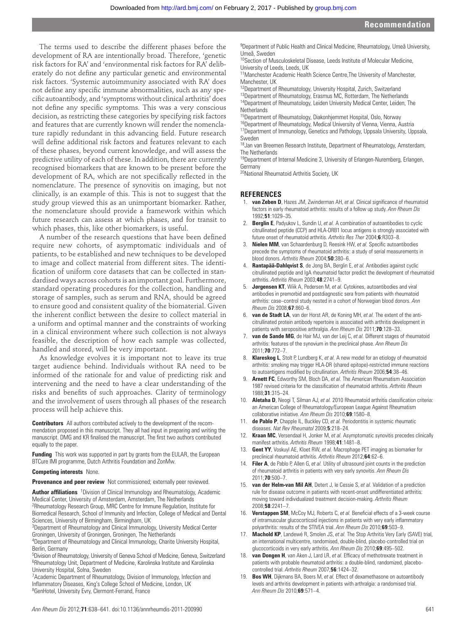The terms used to describe the different phases before the development of RA are intentionally broad. Therefore, 'genetic risk factors for RA' and 'environmental risk factors for RA' deliberately do not define any particular genetic and environmental risk factors. 'Systemic autoimmunity associated with RA' does not define any specific immune abnormalities, such as any specific autoantibody, and 'symptoms without clinical arthritis' does not define any specific symptoms. This was a very conscious decision, as restricting these categories by specifying risk factors and features that are currently known will render the nomenclature rapidly redundant in this advancing field. Future research will define additional risk factors and features relevant to each of these phases, beyond current knowledge, and will assess the predictive utility of each of these. In addition, there are currently recognised biomarkers that are known to be present before the development of RA, which are not specifically reflected in the nomenclature. The presence of synovitis on imaging, but not clinically, is an example of this. This is not to suggest that the study group viewed this as an unimportant biomarker. Rather, the nomenclature should provide a framework within which future research can assess at which phases, and for transit to which phases, this, like other biomarkers, is useful.

A number of the research questions that have been defined require new cohorts, of asymptomatic individuals and of patients, to be established and new techniques to be developed to image and collect material from different sites. The identification of uniform core datasets that can be collected in standardised ways across cohorts is an important goal. Furthermore, standard operating procedures for the collection, handling and storage of samples, such as serum and RNA, should be agreed to ensure good and consistent quality of the biomaterial. Given the inherent conflict between the desire to collect material in a uniform and optimal manner and the constraints of working in a clinical environment where such collection is not always feasible, the description of how each sample was collected, handled and stored, will be very important.

As knowledge evolves it is important not to leave its true target audience behind. Individuals without RA need to be informed of the rationale for and value of predicting risk and intervening and the need to have a clear understanding of the risks and benefits of such approaches. Clarity of terminology and the involvement of users through all phases of the research process will help achieve this.

**Contributors** All authors contributed actively to the development of the recommendation proposed in this manuscript. They all had input in preparing and writing the manuscript. DMG and KR finalised the manuscript. The first two authors contributed equally to the paper.

**Funding** This work was supported in part by grants from the EULAR, the European BTCure IMI programme, Dutch Arthritis Foundation and ZonMw.

#### **Competing interests** None.

**Provenance and peer review** Not commissioned; externally peer reviewed.

Author affiliations <sup>1</sup> Division of Clinical Immunology and Rheumatology, Academic Medical Center, University of Amsterdam, Amsterdam, The Netherlands 2 Rheumatology Research Group, MRC Centre for Immune Regulation, Institute for Biomedical Research, School of Immunity and Infection, College of Medical and Dental Sciences, University of Birmingham, Birmingham, UK

<sup>3</sup>Department of Rheumatology and Clinical Immunology, University Medical Center Groningen, University of Groningen, Groningen, The Netherlands

4 Department of Rheumatology and Clinical Immunology, Charite University Hospital, Berlin, Germany

<sup>5</sup>Division of Rheumatology, University of Geneva School of Medicine, Geneva, Switzerland <sup>6</sup>Rheumatology Unit, Department of Medicine, Karolinska Institute and Karolinska University Hospital, Solna, Sweden

<sup>7</sup>Academic Department of Rheumatology, Division of Immunology, Infection and Inflammatory Diseases, King's College School of Medicine, London, UK <sup>8</sup>GenHotel, University Evry, Clermont-Ferrand, France

<sup>9</sup>Department of Public Health and Clinical Medicine, Rheumatology, Umeå University, Umeå, Sweden

<sup>10</sup>Section of Musculoskeletal Disease, Leeds Institute of Molecular Medicine, University of Leeds, Leeds, UK

11Manchester Academic Health Science Centre,The University of Manchester, Manchester, LIK

<sup>12</sup>Department of Rheumatology, University Hospital, Zurich, Switzerland

<sup>13</sup>Department of Rheumatology, Erasmus MC, Rotterdam, The Netherlands 14Department of Rheumatology, Leiden University Medical Center, Leiden, The **Netherlands** 

15Department of Rheumatology, Diakonhjemmet Hospital, Oslo, Norway

<sup>16</sup>Department of Rheumatology, Medical University of Vienna, Vienna, Austria

<sup>17</sup>Department of Immunology, Genetics and Pathology, Uppsala University, Uppsala, Sweden

18Jan van Breemen Research Institute, Department of Rheumatology, Amsterdam, The Netherlands

<sup>19</sup>Department of Internal Medicine 3, University of Erlangen-Nuremberg, Erlangen, Germany

20National Rheumatoid Arthritis Society, UK

#### **REFERENCES**

- 1. **van Zeben D**, Hazes JM, Zwinderman AH, *et al.* Clinical significance of rheumatoid factors in early rheumatoid arthritis: results of a follow up study. *Ann Rheum Dis* 1992;**51**:1029–35.
- **Berglin E**, Padyukov L, Sundin U, et al. A combination of autoantibodies to cyclic citrullinated peptide (CCP) and HLA-DRB1 locus antigens is strongly associated with future onset of rheumatoid arthritis. *Arthritis Res Ther* 2004;**6**:R303–8.
- 3. **Nielen MM**, van Schaardenburg D, Reesink HW, et al. Specific autoantibodies precede the symptoms of rheumatoid arthritis: a study of serial measurements in blood donors. *Arthritis Rheum* 2004;**50**:380–6.
- 4. **Rantapää-Dahlqvist S**, de Jong BA, Berglin E, *et al.* Antibodies against cyclic citrullinated peptide and IgA rheumatoid factor predict the development of rheumatoid arthritis. *Arthritis Rheum* 2003;**48**:2741–9.
- 5. **Jørgensen KT**, Wiik A, Pedersen M, *et al.* Cytokines, autoantibodies and viral antibodies in premorbid and postdiagnostic sera from patients with rheumatoid arthritis: case–control study nested in a cohort of Norwegian blood donors. *Ann Rheum Dis* 2008;**67**:860–6.
- 6. **van de Stadt LA**, van der Horst AR, de Koning MH, *et al.* The extent of the anticitrullinated protein antibody repertoire is associated with arthritis development in patients with seropositive arthralgia. *Ann Rheum Dis* 2011;**70**:128–33.
- 7. **van de Sande MG**, de Hair MJ, van der Leij C, *et al.* Different stages of rheumatoid arthritis: features of the synovium in the preclinical phase. *Ann Rheum Dis* 2011;**70**:772–7.
- 8. **Klareskog L**, Stolt P, Lundberg K, *et al.* A new model for an etiology of rheumatoid arthritis: smoking may trigger HLA-DR (shared epitope)-restricted immune reactions to autoantigens modified by citrullination. Arthritis Rheum 2006;54:38-46.
- 9. **Arnett FC**, Edworthy SM, Bloch DA, *et al.* The American Rheumatism Association 1987 revised criteria for the classification of rheumatoid arthritis. Arthritis Rheum 1988;**31**:315–24.
- 10. **Aletaha D**, Neogi T, Silman AJ, et al. 2010 Rheumatoid arthritis classification criteria: an American College of Rheumatology/European League Against Rheumatism collaborative initiative. *Ann Rheum Dis* 2010;**69**:1580–8.
- 11. **de Pablo P**, Chapple IL, Buckley CD, *et al.* Periodontitis in systemic rheumatic diseases. *Nat Rev Rheumatol* 2009;**5**:218–24.
- 12. **Kraan MC**, Versendaal H, Jonker M, *et al.* Asymptomatic synovitis precedes clinically manifest arthritis. *Arthritis Rheum* 1998;**41**:1481–8.
- 13. **Gent YY**, Voskuyl AE, Kloet RW, *et al.* Macrophage PET imaging as biomarker for preclinical rheumatoid arthritis. *Arthritis Rheum* 2012;**64**:62–6.
- 14. **Filer A**, de Pablo P, Allen G, *et al.* Utility of ultrasound joint counts in the prediction of rheumatoid arthritis in patients with very early synovitis. *Ann Rheum Dis* 2011;**70**:500–7.
- 15. **van der Helm-van Mil AH**, Detert J, le Cessie S, *et al.* Validation of a prediction rule for disease outcome in patients with recent-onset undifferentiated arthritis: moving toward individualized treatment decision-making. *Arthritis Rheum* 2008;**58**:2241–7.
- 16. **Verstappen SM**, McCoy MJ, Roberts C, et al. Beneficial effects of a 3-week course of intramuscular glucocorticoid injections in patients with very early inflammatory polyarthritis: results of the STIVEA trial. *Ann Rheum Dis* 2010;**69**:503–9.
- 17. **Machold KP**, Landewé R, Smolen JS, *et al.* The Stop Arthritis Very Early (SAVE) trial, an international multicentre, randomised, double-blind, placebo-controlled trial on glucocorticoids in very early arthritis. *Ann Rheum Dis* 2010;**69**:495–502.
- 18. **van Dongen H**, van Aken J, Lard LR, et al. Efficacy of methotrexate treatment in patients with probable rheumatoid arthritis: a double-blind, randomized, placebocontrolled trial. *Arthritis Rheum* 2007;**56**:1424–32.
- **Bos WH**, Dijkmans BA, Boers M, et al. Effect of dexamethasone on autoantibody levels and arthritis development in patients with arthralgia: a randomised trial. *Ann Rheum Dis* 2010;**69**:571–4.